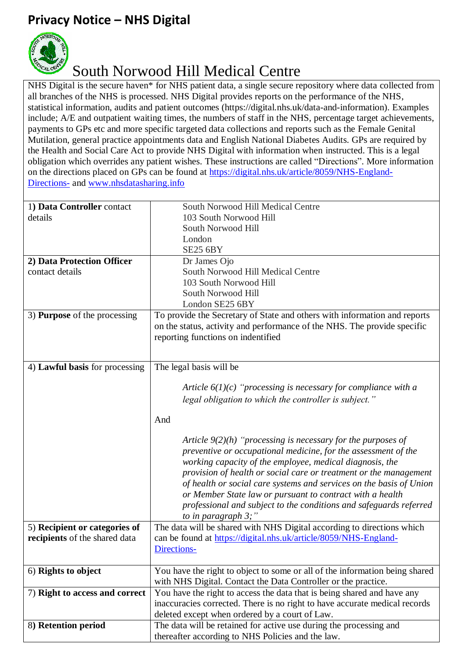## **Privacy Notice – NHS Digital**



## South Norwood Hill Medical Centre

NHS Digital is the secure haven\* for NHS patient data, a single secure repository where data collected from all branches of the NHS is processed. NHS Digital provides reports on the performance of the NHS, statistical information, audits and patient outcomes (https://digital.nhs.uk/data-and-information). Examples include; A/E and outpatient waiting times, the numbers of staff in the NHS, percentage target achievements, payments to GPs etc and more specific targeted data collections and reports such as the Female Genital Mutilation, general practice appointments data and English National Diabetes Audits. GPs are required by the Health and Social Care Act to provide NHS Digital with information when instructed. This is a legal obligation which overrides any patient wishes. These instructions are called "Directions". More information on the directions placed on GPs can be found at [https://digital.nhs.uk/article/8059/NHS-England-](https://digital.nhs.uk/article/8059/NHS-England-Directions-)[Directions-](https://digital.nhs.uk/article/8059/NHS-England-Directions-) and [www.nhsdatasharing.info](http://www.nhsdatasharing.info/)

| 1) Data Controller contact          | South Norwood Hill Medical Centre                                           |
|-------------------------------------|-----------------------------------------------------------------------------|
| details                             | 103 South Norwood Hill                                                      |
|                                     | South Norwood Hill                                                          |
|                                     | London                                                                      |
|                                     | <b>SE25 6BY</b>                                                             |
| 2) Data Protection Officer          | Dr James Ojo                                                                |
| contact details                     | South Norwood Hill Medical Centre                                           |
|                                     | 103 South Norwood Hill                                                      |
|                                     | South Norwood Hill                                                          |
|                                     | London SE25 6BY                                                             |
| 3) <b>Purpose</b> of the processing | To provide the Secretary of State and others with information and reports   |
|                                     | on the status, activity and performance of the NHS. The provide specific    |
|                                     | reporting functions on indentified                                          |
|                                     |                                                                             |
|                                     |                                                                             |
| 4) Lawful basis for processing      | The legal basis will be                                                     |
|                                     | Article $6(1)(c)$ "processing is necessary for compliance with a            |
|                                     |                                                                             |
|                                     | legal obligation to which the controller is subject."                       |
|                                     | And                                                                         |
|                                     |                                                                             |
|                                     | Article $9(2)(h)$ "processing is necessary for the purposes of              |
|                                     | preventive or occupational medicine, for the assessment of the              |
|                                     | working capacity of the employee, medical diagnosis, the                    |
|                                     | provision of health or social care or treatment or the management           |
|                                     | of health or social care systems and services on the basis of Union         |
|                                     | or Member State law or pursuant to contract with a health                   |
|                                     | professional and subject to the conditions and safeguards referred          |
|                                     | to in paragraph $3$ ;"                                                      |
| 5) Recipient or categories of       | The data will be shared with NHS Digital according to directions which      |
| recipients of the shared data       | can be found at https://digital.nhs.uk/article/8059/NHS-England-            |
|                                     | Directions-                                                                 |
|                                     |                                                                             |
| 6) Rights to object                 | You have the right to object to some or all of the information being shared |
|                                     | with NHS Digital. Contact the Data Controller or the practice.              |
| 7) Right to access and correct      | You have the right to access the data that is being shared and have any     |
|                                     | inaccuracies corrected. There is no right to have accurate medical records  |
|                                     | deleted except when ordered by a court of Law.                              |
| 8) Retention period                 | The data will be retained for active use during the processing and          |
|                                     | thereafter according to NHS Policies and the law.                           |